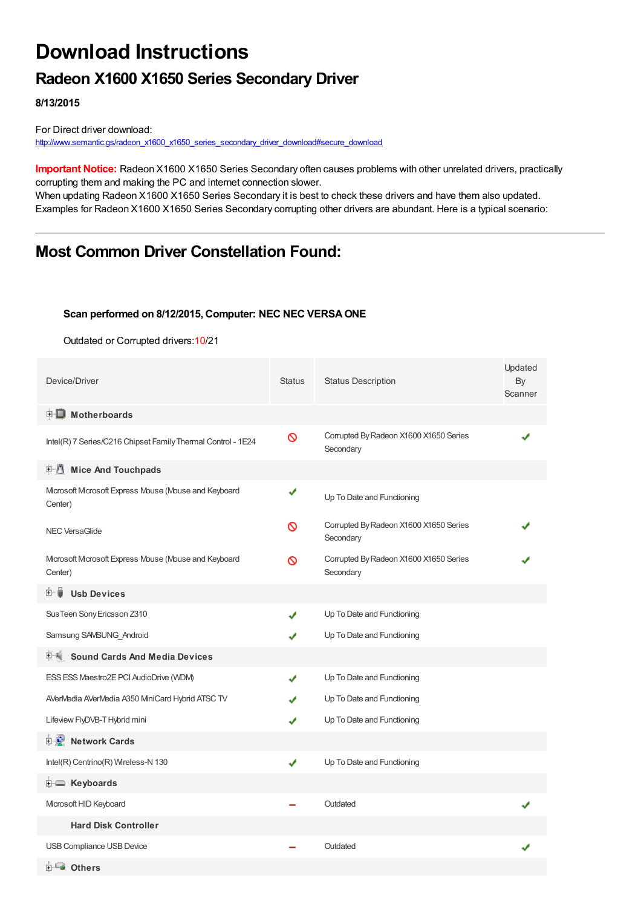# **Download Instructions**

## **Radeon X1600 X1650 Series Secondary Driver**

**8/13/2015**

For Direct driver download: [http://www.semantic.gs/radeon\\_x1600\\_x1650\\_series\\_secondary\\_driver\\_download#secure\\_download](http://www.semantic.gs/radeon_x1600_x1650_series_secondary_driver_download#secure_download)

**Important Notice:** Radeon X1600 X1650 Series Secondary often causes problems with other unrelated drivers, practically corrupting them and making the PC and internet connection slower.

When updating Radeon X1600 X1650 Series Secondary it is best to check these drivers and have them also updated. Examples for Radeon X1600 X1650 Series Secondary corrupting other drivers are abundant. Here is a typical scenario:

### **Most Common Driver Constellation Found:**

#### **Scan performed on 8/12/2015, Computer: NEC NEC VERSAONE**

Outdated or Corrupted drivers:10/21

| Device/Driver                                                    | <b>Status</b> | <b>Status Description</b>                           | Updated<br>By<br>Scanner |
|------------------------------------------------------------------|---------------|-----------------------------------------------------|--------------------------|
| <b>E</b> Motherboards                                            |               |                                                     |                          |
| Intel(R) 7 Series/C216 Chipset Family Thermal Control - 1E24     | Ø             | Corrupted By Radeon X1600 X1650 Series<br>Secondary |                          |
| <b>E</b> Mice And Touchpads                                      |               |                                                     |                          |
| Microsoft Microsoft Express Mouse (Mouse and Keyboard<br>Center) | ✔             | Up To Date and Functioning                          |                          |
| <b>NEC VersaGlide</b>                                            | ര             | Corrupted By Radeon X1600 X1650 Series<br>Secondary |                          |
| Microsoft Microsoft Express Mbuse (Mbuse and Keyboard<br>Center) | ര             | Corrupted By Radeon X1600 X1650 Series<br>Secondary |                          |
| <b>Usb Devices</b><br>田一員                                        |               |                                                     |                          |
| Sus Teen Sony Ericsson Z310                                      | ✔             | Up To Date and Functioning                          |                          |
| Samsung SAMSUNG Android                                          |               | Up To Date and Functioning                          |                          |
| 中 <sup>制</sup> Sound Cards And Media Devices                     |               |                                                     |                          |
| ESS ESS Maestro2E PCI AudioDrive (WDM)                           |               | Up To Date and Functioning                          |                          |
| AVerMedia AVerMedia A350 MiniCard Hybrid ATSC TV                 |               | Up To Date and Functioning                          |                          |
| Lifeview FlyDVB-T Hybrid mini                                    |               | Up To Date and Functioning                          |                          |
| <b>E-9</b> Network Cards                                         |               |                                                     |                          |
| Intel(R) Centrino(R) Wireless-N 130                              | J             | Up To Date and Functioning                          |                          |
| E Keyboards                                                      |               |                                                     |                          |
| Microsoft HID Keyboard                                           |               | Outdated                                            |                          |
| <b>Hard Disk Controller</b>                                      |               |                                                     |                          |
| USB Compliance USB Device                                        |               | Outdated                                            |                          |
| <b>E</b> Others                                                  |               |                                                     |                          |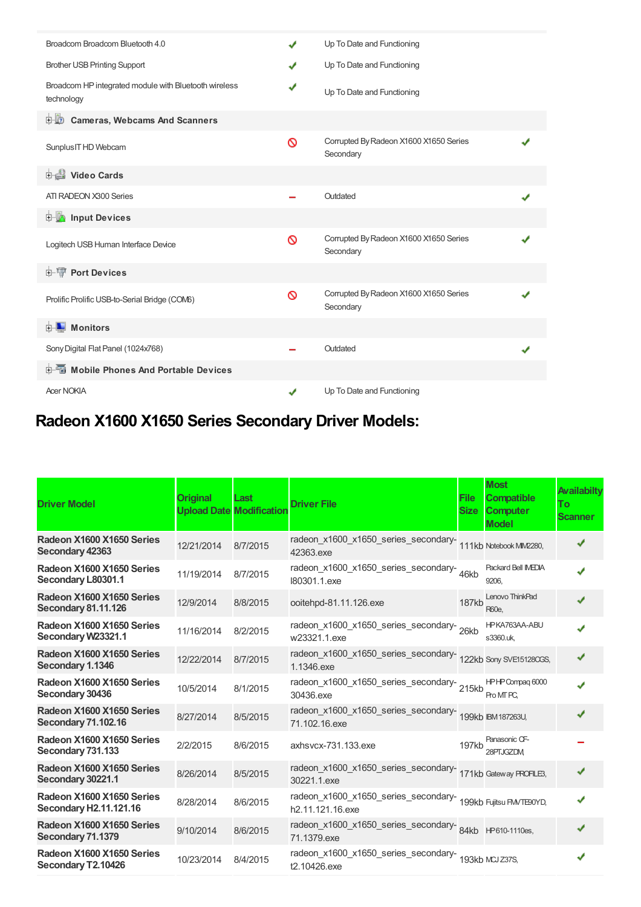| Broadcom Broadcom Bluetooth 4.0                                     | ✔ | Up To Date and Functioning                          |  |
|---------------------------------------------------------------------|---|-----------------------------------------------------|--|
| <b>Brother USB Printing Support</b>                                 | ✔ | Up To Date and Functioning                          |  |
| Broadcom HP integrated module with Bluetooth wireless<br>technology | ✔ | Up To Date and Functioning                          |  |
| <b>D</b> Cameras, Webcams And Scanners                              |   |                                                     |  |
| Sunplus IT HD Webcam                                                | ∾ | Corrupted By Radeon X1600 X1650 Series<br>Secondary |  |
| Video Cards                                                         |   |                                                     |  |
| ATI RADEON X300 Series                                              |   | Outdated                                            |  |
| <b>E</b> Input Devices                                              |   |                                                     |  |
| Logitech USB Human Interface Device                                 | ଷ | Corrupted By Radeon X1600 X1650 Series<br>Secondary |  |
| <b>E-19 Port Devices</b>                                            |   |                                                     |  |
| Prolific Prolific USB-to-Serial Bridge (COM6)                       | ∾ | Corrupted By Radeon X1600 X1650 Series<br>Secondary |  |
| <b>E</b> Monitors                                                   |   |                                                     |  |
| Sony Digital Flat Panel (1024x768)                                  |   | Outdated                                            |  |
| <b>E-M</b> Mobile Phones And Portable Devices                       |   |                                                     |  |
| <b>Acer NOKIA</b>                                                   | ✔ | Up To Date and Functioning                          |  |

## **Radeon X1600 X1650 Series Secondary Driver Models:**

| <b>Driver Model</b>                                        | Original   | Last<br><b>Upload Date Modification</b> | <b>Driver File</b>                                                                   | <b>File</b><br><b>Size</b> | <b>Most</b><br><b>Compatible</b><br><b>Computer</b><br><b>Model</b> | <b>Availabilty</b><br>To<br><b>Scanner</b> |
|------------------------------------------------------------|------------|-----------------------------------------|--------------------------------------------------------------------------------------|----------------------------|---------------------------------------------------------------------|--------------------------------------------|
| Radeon X1600 X1650 Series<br>Secondary 42363               | 12/21/2014 | 8/7/2015                                | radeon_x1600_x1650_series_secondary-<br>111kb Notebook MM2280,<br>42363.exe          |                            |                                                                     | ✔                                          |
| Radeon X1600 X1650 Series<br>Secondary L80301.1            | 11/19/2014 | 8/7/2015                                | radeon_x1600_x1650_series_secondary-46kb<br>180301.1.exe                             |                            | Packard Bell IMEDIA<br>9206.                                        |                                            |
| Radeon X1600 X1650 Series<br><b>Secondary 81.11.126</b>    | 12/9/2014  | 8/8/2015                                | ooitehpd-81.11.126.exe                                                               | <b>187kb</b>               | Lenovo ThinkPad<br>R60e.                                            |                                            |
| Radeon X1600 X1650 Series<br>Secondary W23321.1            | 11/16/2014 | 8/2/2015                                | radeon_x1600_x1650_series_secondary-26kb<br>w23321.1.exe                             |                            | HPKA763AA-ABU<br>s3360.uk.                                          |                                            |
| Radeon X1600 X1650 Series<br>Secondary 1.1346              | 12/22/2014 | 8/7/2015                                | radeon_x1600_x1650_series_secondary-<br>122kb Sony SVE151280GS,<br>1.1346.exe        |                            |                                                                     | ✔                                          |
| Radeon X1600 X1650 Series<br>Secondary 30436               | 10/5/2014  | 8/1/2015                                | radeon_x1600_x1650_series_secondary-215kb<br>30436.exe                               |                            | HPHP Compaq 6000<br>Pro MT PC.                                      |                                            |
| Radeon X1600 X1650 Series<br><b>Secondary 71.102.16</b>    | 8/27/2014  | 8/5/2015                                | radeon_x1600_x1650_series_secondary-<br>199kb IBM187263U,<br>71.102.16.exe           |                            |                                                                     | J                                          |
| Radeon X1600 X1650 Series<br>Secondary 731.133             | 2/2/2015   | 8/6/2015                                | axhsvcx-731.133.exe                                                                  | 197kb                      | Panasonic CF-<br>28PTJGZDM                                          |                                            |
| Radeon X1600 X1650 Series<br>Secondary 30221.1             | 8/26/2014  | 8/5/2015                                | radeon_x1600_x1650_series_secondary-<br>171kb Gateway PROFILE3,<br>30221.1.exe       |                            |                                                                     |                                            |
| Radeon X1600 X1650 Series<br><b>Secondary H2.11.121.16</b> | 8/28/2014  | 8/6/2015                                | radeon_x1600_x1650_series_secondary-<br>199kb Fujitsu FM/TE90YD,<br>h2.11.121.16.exe |                            |                                                                     | ✔                                          |
| Radeon X1600 X1650 Series<br>Secondary 71.1379             | 9/10/2014  | 8/6/2015                                | 71.1379.exe                                                                          |                            |                                                                     | J                                          |
| Radeon X1600 X1650 Series<br>Secondary T2.10426            | 10/23/2014 | 8/4/2015                                | radeon_x1600_x1650_series_secondary-<br>193kb MCJ Z37S,<br>t2.10426.exe              |                            |                                                                     |                                            |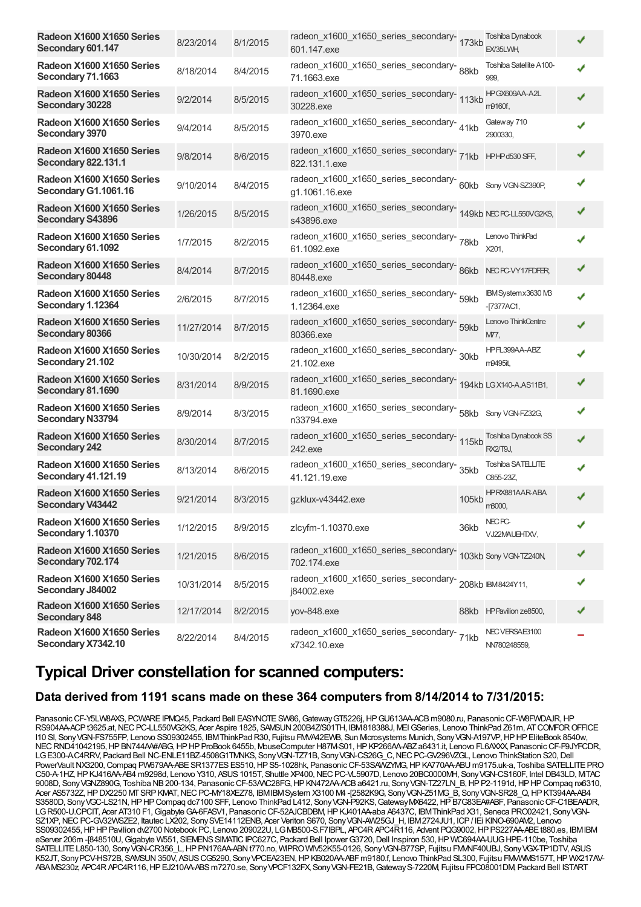| Radeon X1600 X1650 Series<br>Secondary 601.147          | 8/23/2014  | 8/1/2015 | radeon_x1600_x1650_series_secondary-<br>173kb<br>601.147.exe                  |       | Toshiba Dynabook<br>EX/35LWH,        |  |
|---------------------------------------------------------|------------|----------|-------------------------------------------------------------------------------|-------|--------------------------------------|--|
| Radeon X1600 X1650 Series<br>Secondary 71.1663          | 8/18/2014  | 8/4/2015 | radeon_x1600_x1650_series_secondary-<br>88kb<br>71.1663.exe                   |       | Toshiba Satellite A100-<br>999.      |  |
| Radeon X1600 X1650 Series<br>Secondary 30228            | 9/2/2014   | 8/5/2015 | radeon_x1600_x1650_series_secondary-<br>113kb<br>30228.exe                    |       | HPGX609AA-A2L<br>m9160f,             |  |
| Radeon X1600 X1650 Series<br>Secondary 3970             | 9/4/2014   | 8/5/2015 | radeon_x1600_x1650_series_secondary-<br>41kb<br>3970.exe                      |       | Gateway 710<br>2900330,              |  |
| Radeon X1600 X1650 Series<br><b>Secondary 822.131.1</b> | 9/8/2014   | 8/6/2015 | 822.131.1.exe                                                                 |       |                                      |  |
| Radeon X1600 X1650 Series<br>Secondary G1.1061.16       | 9/10/2014  | 8/4/2015 | radeon_x1600_x1650_series_secondary-60kb Sony VGN-SZ390P,<br>g1.1061.16.exe   |       |                                      |  |
| Radeon X1600 X1650 Series<br><b>Secondary S43896</b>    | 1/26/2015  | 8/5/2015 | radeon_x1600_x1650_series_secondary-<br>149kb NECPC-LL550VG2KS,<br>s43896.exe |       |                                      |  |
| Radeon X1600 X1650 Series<br>Secondary 61.1092          | 1/7/2015   | 8/2/2015 | radeon_x1600_x1650_series_secondary-<br>78kb<br>61.1092.exe                   |       | Lenovo ThinkPad<br>X201,             |  |
| Radeon X1600 X1650 Series<br>Secondary 80448            | 8/4/2014   | 8/7/2015 | radeon_x1600_x1650_series_secondary-86kb<br>80448.exe                         |       | NEC PC-VY17FDFER,                    |  |
| Radeon X1600 X1650 Series<br>Secondary 1.12364          | 2/6/2015   | 8/7/2015 | radeon_x1600_x1650_series_secondary-f9kb<br>1.12364.exe                       |       | IBM System x 3630 MB<br>$-T377AC1$ , |  |
| Radeon X1600 X1650 Series<br>Secondary 80366            | 11/27/2014 | 8/7/2015 | radeon_x1600_x1650_series_secondary-<br>59kb<br>80366.exe                     |       | Lenovo ThinkCentre<br>M77,           |  |
| Radeon X1600 X1650 Series<br>Secondary 21.102           | 10/30/2014 | 8/2/2015 | radeon_x1600_x1650_series_secondary-<br>30kb<br>21.102.exe                    |       | HP FL399AA-ABZ<br>m9495it,           |  |
| Radeon X1600 X1650 Series<br>Secondary 81.1690          | 8/31/2014  | 8/9/2015 | radeon_x1600_x1650_series_secondary-<br>194kb LGX140-A.AS11B1,<br>81.1690.exe |       |                                      |  |
| Radeon X1600 X1650 Series<br><b>Secondary N33794</b>    | 8/9/2014   | 8/3/2015 | radeon_x1600_x1650_series_secondary-<br>58kb Sony VGN-FZ32G,<br>n33794.exe    |       |                                      |  |
| Radeon X1600 X1650 Series<br><b>Secondary 242</b>       | 8/30/2014  | 8/7/2015 | radeon_x1600_x1650_series_secondary-<br>115kb<br>242.exe                      |       | Toshiba Dynabook SS<br>RX2/T9J,      |  |
| Radeon X1600 X1650 Series<br><b>Secondary 41.121.19</b> | 8/13/2014  | 8/6/2015 | radeon_x1600_x1650_series_secondary-<br>35kb<br>41.121.19.exe                 |       | Toshiba SATELLITE<br>C855-23Z,       |  |
| Radeon X1600 X1650 Series<br><b>Secondary V43442</b>    | 9/21/2014  | 8/3/2015 | gzklux-v43442.exe                                                             | 105kb | <b>HPRX881AAR-ABA</b><br>m8000,      |  |
| Radeon X1600 X1650 Series<br>Secondary 1.10370          | 1/12/2015  | 8/9/2015 | zlcyfm-1.10370.exe                                                            | 36kb  | NEC PC-<br>VJ22MAUEHTXV,             |  |
| Radeon X1600 X1650 Series<br>Secondary 702.174          | 1/21/2015  | 8/6/2015 | radeon_x1600_x1650_series_secondary-<br>103kb Sony VGN-TZ240N,<br>702.174.exe |       |                                      |  |
| Radeon X1600 X1650 Series<br>Secondary J84002           | 10/31/2014 | 8/5/2015 | radeon_x1600_x1650_series_secondary-208kb BM8424Y11,<br>j84002.exe            |       |                                      |  |
| Radeon X1600 X1650 Series<br><b>Secondary 848</b>       | 12/17/2014 | 8/2/2015 | yov-848.exe                                                                   |       | 88kb HP Pavilion ze8500,             |  |
| Radeon X1600 X1650 Series<br>Secondary X7342.10         | 8/22/2014  | 8/4/2015 | radeon_x1600_x1650_series_secondary-71kb<br>x7342.10.exe                      |       | NECVERSAE3100<br>NV780248559,        |  |

### **Typical Driver constellation for scanned computers:**

#### **Data derived from 1191 scans made on these 364 computers from 8/14/2014 to 7/31/2015:**

Panasonic CF-Y5LW8AXS, PCWARE IPMQ45, Packard Bell EASYNOTE SW86, Gateway GT5226j, HP GU613AA-ACB m9080.ru, Panasonic CF-W8FWDAJR, HP RS904AAACPt3625.at, NECPC-LL550VG2KS, Acer Aspire 1825, SAMSUN 200B4Z/S01TH, IBM818388J, MEI GSeries, Lenovo ThinkPad Z61m, AT COMFOR OFFICE I10 SI, Sony VGN-FS755FP, Lenovo SS09302455, IBM ThinkPad R30, Fujitsu FMVA42EWB, Sun Mcrosystems Munich, Sony VGN-A197VP, HP HP EliteBook 8540w, NEC RND41042195, HP BN744AA#ABG, HP HP ProBook 6455b, MouseComputer H87M-S01, HP KP266AA-ABZ a6431.it, Lenovo FL6AXXX, Panasonic CF-F9JYFCDR, LG E300-AC4RRV, Packard Bell NC-ENLE11BZ-4508G1TMNKS, Sony VGN-TZ71B, Sony VGN-CS26G C, NEC PC-GV296VZGL, Lenovo ThinkStation S20, Dell PowerVaultNX3200, Compaq PW679AA-ABE SR1377ES ES510, HP S5-1028hk, Panasonic CF-53SAWZYMG, HP KA770AA-ABU m9175.uk-a, Toshiba SATELLITE PRO C50-A-1HZ,HPKJ416AA-AB4 m9298d, Lenovo Y310, ASUS1015T, Shuttle XP400,NECPC-VL5907D, Lenovo 20BC0000MH, SonyVGN-CS160F, Intel DB43LD, MiTAC 9008D, SonyVGNZ890G, Toshiba NB200-134, PanasonicCF-53AAC28FG,HPKN472AA-ACBa6421.ru, SonyVGN-TZ27LN\_B,HPP2-1191d,HPHPCompaq nx6310, Acer AS5732Z,HPDX2250 MTSRPKMAT,NECPC-MY18XEZ78, IBMIBMSystem X3100 M4 -[2582K9G, SonyVGN-Z51MG\_B, SonyVGN-SR28\_Q,HPKT394AA-AB4 S3580D, Sony VGC-LS21N, HP HP Compaq dc7100 SFF, Lenovo ThinkPad L412, Sony VGN-P92KS, Gateway MX6422, HP B7G83EA#ABF, Panasonic CF-C1BEAADR, LG R500-U.CPCIT, Acer AT310 F1, Gigabyte GA-6FASV1, Panasonic CF-52AJCBDBM, HP KJ401AA-aba A6437C, IBM ThinkPad X31, Seneca PRO02421, Sony VGN-SZ1XP, NEC PC-GV32WSZE2, Itautec LX202, Sony SVE14112ENB, Acer Veriton S670, Sony VGN-AW25GJ\_H, IBM2724JU1, ICP / IEi KINO-690AM2, Lenovo SS09302455, HP HP Pavilion dv2700 Notebook PC, Lenovo 209022U, LG MB500-S.F7IBPL, APC4R APC4R116, Advent PQG9002, HP PS227AA-ABE t880.es, IBMIBM eServer 206m -[848510U, Gigabyte W551, SIEMENS SIMATIC IPC627C, Packard Bell Ipower G3720, Dell Inspiron 530, HP WC694AA-UUG HPE-110be, Toshiba SATELLITE L850-130, Sony VGN-CR356\_L, HP PN176AA-ABN t770.no, WIPRO WIV52K55-0126, Sony VGN-B77SP, Fujitsu FMMF40UBJ, Sony VGX-TP1DTV, ASUS K52JT, Sony PCV-HS72B, SAMSUN 350V, ASUS CG5290, Sony VPCEA23EN, HP KB020AA-ABFm9180.f, Lenovo ThinkPad SL300, Fujitsu FMMMNS157T, HP WX217AV-ABAMS230z, APC4RAPC4R116,HPEJ210AA-ABSm7270.se, SonyVPCF132FX, SonyVGN-FE21B,GatewayS-7220M, Fujitsu FPC08001DM, Packard Bell ISTART